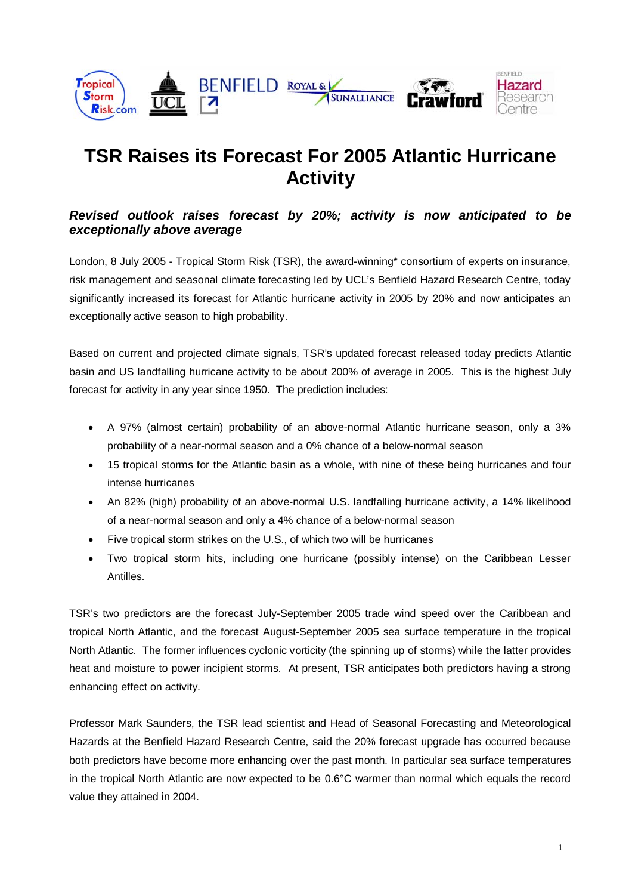

# **TSR Raises its Forecast For 2005 Atlantic Hurricane Activity**

# **Revised outlook raises forecast by 20%; activity is now anticipated to be exceptionally above average**

London, 8 July 2005 - Tropical Storm Risk (TSR), the award-winning\* consortium of experts on insurance, risk management and seasonal climate forecasting led by UCL's Benfield Hazard Research Centre, today significantly increased its forecast for Atlantic hurricane activity in 2005 by 20% and now anticipates an exceptionally active season to high probability.

Based on current and projected climate signals, TSR's updated forecast released today predicts Atlantic basin and US landfalling hurricane activity to be about 200% of average in 2005. This is the highest July forecast for activity in any year since 1950. The prediction includes:

- A 97% (almost certain) probability of an above-normal Atlantic hurricane season, only a 3% probability of a near-normal season and a 0% chance of a below-normal season
- 15 tropical storms for the Atlantic basin as a whole, with nine of these being hurricanes and four intense hurricanes
- An 82% (high) probability of an above-normal U.S. landfalling hurricane activity, a 14% likelihood of a near-normal season and only a 4% chance of a below-normal season
- Five tropical storm strikes on the U.S., of which two will be hurricanes
- Two tropical storm hits, including one hurricane (possibly intense) on the Caribbean Lesser Antilles.

TSR's two predictors are the forecast July-September 2005 trade wind speed over the Caribbean and tropical North Atlantic, and the forecast August-September 2005 sea surface temperature in the tropical North Atlantic. The former influences cyclonic vorticity (the spinning up of storms) while the latter provides heat and moisture to power incipient storms. At present, TSR anticipates both predictors having a strong enhancing effect on activity.

Professor Mark Saunders, the TSR lead scientist and Head of Seasonal Forecasting and Meteorological Hazards at the Benfield Hazard Research Centre, said the 20% forecast upgrade has occurred because both predictors have become more enhancing over the past month. In particular sea surface temperatures in the tropical North Atlantic are now expected to be 0.6°C warmer than normal which equals the record value they attained in 2004.